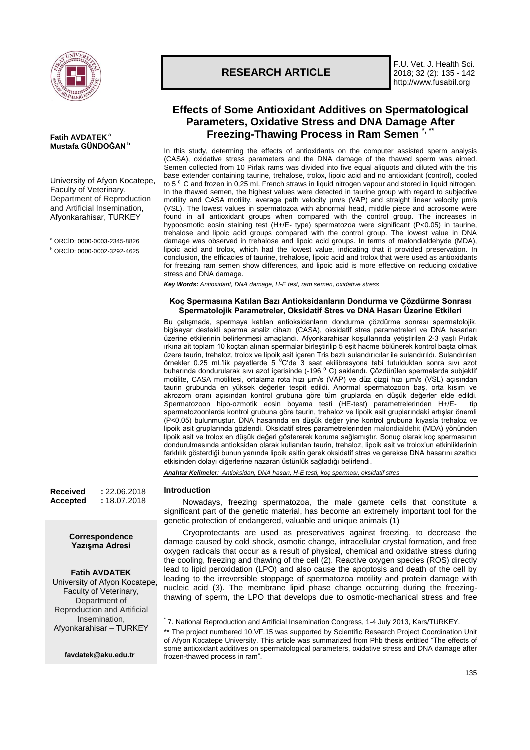

**Fatih AVDATEK <sup>a</sup> Mustafa GÜNDOĞAN <sup>b</sup>**

University of Afyon Kocatepe, Faculty of Veterinary, Department of Reproduction and Artificial Insemination, Afyonkarahisar, TURKEY

<sup>a</sup> ORCİD: 0000-0003-2345-8826 <sup>b</sup> ORCİD: 0000-0002-3292-4625

# **RESEARCH ARTICLE**

F.U. Vet. J. Health Sci. 2018; 32 (2): 135 - 142 http://www.fusabil.org

# **Effects of Some Antioxidant Additives on Spermatological Parameters, Oxidative Stress and DNA Damage After Freezing-Thawing Process in Ram Semen \*, \*\***

In this study, determing the effects of antioxidants on the computer assisted sperm analysis (CASA), oxidative stress parameters and the DNA damage of the thawed sperm was aimed. Semen collected from 10 Pirlak rams was divided into five equal aliquots and diluted with the tris base extender containing taurine, trehalose, trolox, lipoic acid and no antioxidant (control), cooled to 5<sup>°</sup> C and frozen in 0,25 mL French straws in liquid nitrogen vapour and stored in liquid nitrogen. In the thawed semen, the highest values were detected in taurine group with regard to subjective motility and CASA motility, average path velocity μm/s (VAP) and straight linear velocity μm/s (VSL). The lowest values in spermatozoa with abnormal head, middle piece and acrosome were found in all antioxidant groups when compared with the control group. The increases in hypoosmotic eosin staining test (H+/E- type) spermatozoa were significant (P<0.05) in taurine, trehalose and lipoic acid groups compared with the control group. The lowest value in DNA damage was observed in trehalose and lipoic acid groups. In terms of malondialdehyde (MDA), lipoic acid and trolox, which had the lowest value, indicating that it provided preservation. In conclusion, the efficacies of taurine, trehalose, lipoic acid and trolox that were used as antioxidants for freezing ram semen show differences, and lipoic acid is more effective on reducing oxidative stress and DNA damage.

*Key Words: Antioxidant, DNA damage, H-E test, ram semen, oxidative stress*

# **Koç Spermasına Katılan Bazı Antioksidanların Dondurma ve Çözdürme Sonrası Spermatolojik Parametreler, Oksidatif Stres ve DNA Hasarı Üzerine Etkileri**

Bu çalışmada, spermaya katılan antioksidanların dondurma çözdürme sonrası spermatolojik, bigisayar destekli sperma analiz cihazı (CASA), oksidatif stres parametreleri ve DNA hasarları üzerine etkilerinin belirlenmesi amaçlandı. Afyonkarahisar koşullarında yetiştirilen 2-3 yaşlı Pırlak ırkına ait toplam 10 koçtan alınan spermalar birleştirilip 5 eşit hacme bölünerek kontrol başta olmak üzere taurin, trehaloz, trolox ve lipoik asit içeren Tris bazlı sulandırıcılar ile sulandırıldı. Sulandırılan örnekler 0.25 mL'lik payetlerde 5 °C'de 3 saat ekilibrasyona tabi tutulduktan sonra sıvı azot buharında dondurularak sıvı azot içerisinde (-196 ⁰ C) saklandı. Çözdürülen spermalarda subjektif motilite, CASA motilitesi, ortalama rota hızı μm/s (VAP) ve düz çizgi hızı μm/s (VSL) açısından taurin grubunda en yüksek değerler tespit edildi. Anormal spermatozoon baş, orta kısım ve akrozom oranı açısından kontrol grubuna göre tüm gruplarda en düşük değerler elde edildi. Spermatozoon hipo-ozmotik eosin boyama testi (HE-test) parametrelerinden H+/Espermatozoonlarda kontrol grubuna göre taurin, trehaloz ve lipoik asit gruplarındaki artışlar önemli (P<0.05) bulunmuştur. DNA hasarında en düşük değer yine kontrol grubuna kıyasla trehaloz ve lipoik asit gruplarında gözlendi. Oksidatif stres parametrelerinden malondialdehit (MDA) yönünden lipoik asit ve trolox en düşük değeri göstererek koruma sağlamıştır. Sonuç olarak koç spermasının dondurulmasında antioksidan olarak kullanılan taurin, trehaloz, lipoik asit ve trolox'un etkinliklerinin farklılık gösterdiği bunun yanında lipoik asitin gerek oksidatif stres ve gerekse DNA hasarını azaltıcı etkisinden dolayı diğerlerine nazaran üstünlük sağladığı belirlendi.

*Anahtar Kelimeler: Antioksidan, DNA hasarı, H-E testi, koç sperması, oksidatif stres*

# **Introduction**

<u>.</u>

Nowadays, freezing spermatozoa, the male gamete cells that constitute a significant part of the genetic material, has become an extremely important tool for the genetic protection of endangered, valuable and unique animals (1)

Cryoprotectants are used as preservatives against freezing, to decrease the damage caused by cold shock, osmotic change, intracellular crystal formation, and free oxygen radicals that occur as a result of physical, chemical and oxidative stress during the cooling, freezing and thawing of the cell (2). Reactive oxygen species (ROS) directly lead to lipid peroxidation (LPO) and also cause the apoptosis and death of the cell by leading to the irreversible stoppage of spermatozoa motility and protein damage with nucleic acid (3). The membrane lipid phase change occurring during the freezingthawing of sperm, the LPO that develops due to osmotic-mechanical stress and free

# **Received :** 22.06.2018 **Accepted :** 18.07.2018

# **Correspondence Yazışma Adresi**

**Fatih AVDATEK** University of Afyon Kocatepe, Faculty of Veterinary, Department of Reproduction and Artificial Insemination, Afyonkarahisar – TURKEY

**[favdatek@aku.edu.tr](mailto:favdatek@aku.edu.tr)**

<sup>\*</sup> 7. National Reproduction and Artificial Insemination Congress, 1-4 July 2013, Kars/TURKEY.

<sup>\*\*</sup> The project numbered 10.VF.15 was supported by Scientific Research Project Coordination Unit of Afyon Kocatepe University. This article was summarized from Phb thesis entitled "The effects of some antioxidant additives on spermatological parameters, oxidative stress and DNA damage after frozen-thawed process in ram".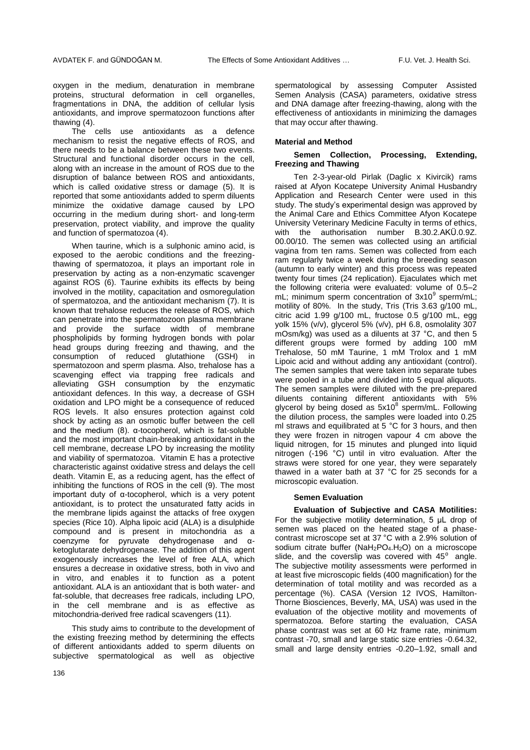oxygen in the medium, denaturation in membrane proteins, structural deformation in cell organelles, fragmentations in DNA, the addition of cellular lysis antioxidants, and improve spermatozoon functions after thawing (4).

The cells use antioxidants as a defence mechanism to resist the negative effects of ROS, and there needs to be a balance between these two events. Structural and functional disorder occurs in the cell, along with an increase in the amount of ROS due to the disruption of balance between ROS and antioxidants, which is called oxidative stress or damage (5). It is reported that some antioxidants added to sperm diluents minimize the oxidative damage caused by LPO occurring in the medium during short- and long-term preservation, protect viability, and improve the quality and function of spermatozoa (4).

When taurine, which is a sulphonic amino acid, is exposed to the aerobic conditions and the freezingthawing of spermatozoa, it plays an important role in preservation by acting as a non-enzymatic scavenger against ROS (6). Taurine exhibits its effects by being involved in the motility, capacitation and osmoregulation of spermatozoa, and the antioxidant mechanism (7). It is known that trehalose reduces the release of ROS, which can penetrate into the spermatozoon plasma membrane and provide the surface width of membrane phospholipids by forming hydrogen bonds with polar head groups during freezing and thawing, and the consumption of reduced glutathione (GSH) in spermatozoon and sperm plasma. Also, trehalose has a scavenging effect via trapping free radicals and alleviating GSH consumption by the enzymatic antioxidant defences. In this way, a decrease of GSH oxidation and LPO might be a consequence of reduced ROS levels. It also ensures protection against cold shock by acting as an osmotic buffer between the cell and the medium (8). α-tocopherol, which is fat-soluble and the most important chain-breaking antioxidant in the cell membrane, decrease LPO by increasing the motility and viability of spermatozoa. Vitamin E has a protective characteristic against oxidative stress and delays the cell death. Vitamin E, as a reducing agent, has the effect of inhibiting the functions of ROS in the cell (9). The most important duty of α-tocopherol, which is a very potent antioxidant, is to protect the unsaturated fatty acids in the membrane lipids against the attacks of free oxygen species (Rice 10). Alpha lipoic acid (ALA) is a disulphide compound and is present in mitochondria as a coenzyme for pyruvate dehydrogenase and αketoglutarate dehydrogenase. The addition of this agent exogenously increases the level of free ALA, which ensures a decrease in oxidative stress, both in vivo and in vitro, and enables it to function as a potent antioxidant. ALA is an antioxidant that is both water- and fat-soluble, that decreases free radicals, including LPO, in the cell membrane and is as effective as mitochondria-derived free radical scavengers (11).

This study aims to contribute to the development of the existing freezing method by determining the effects of different antioxidants added to sperm diluents on subjective spermatological as well as objective

spermatological by assessing Computer Assisted Semen Analysis (CASA) parameters, oxidative stress and DNA damage after freezing-thawing, along with the effectiveness of antioxidants in minimizing the damages that may occur after thawing.

#### **Material and Method**

# **Semen Collection, Processing, Extending, Freezing and Thawing**

Ten 2-3-year-old Pirlak (Daglic x Kivircik) rams raised at Afyon Kocatepe University Animal Husbandry Application and Research Center were used in this study. The study's experimental design was approved by the Animal Care and Ethics Committee Afyon Kocatepe University Veterinary Medicine Faculty in terms of ethics, with the authorisation number B.30.2.AKÜ.0.9Z. 00.00/10. The semen was collected using an artificial vagina from ten rams. Semen was collected from each ram regularly twice a week during the breeding season (autumn to early winter) and this process was repeated twenty four times (24 replication). Ejaculates which met the following criteria were evaluated: volume of 0.5–2 mL; minimum sperm concentration of 3x10<sup>9</sup> sperm/mL; motility of 80%. In the study, Tris (Tris 3.63 g/100 mL, citric acid 1.99 g/100 mL, fructose 0.5 g/100 mL, egg yolk 15% (v/v), glycerol 5% (v/v), pH 6.8, osmolality 307 mOsm/kg) was used as a diluents at 37 °C, and then 5 different groups were formed by adding 100 mM Trehalose, 50 mM Taurine, 1 mM Trolox and 1 mM Lipoic acid and without adding any antioxidant (control). The semen samples that were taken into separate tubes were pooled in a tube and divided into 5 equal aliquots. The semen samples were diluted with the pre-prepared diluents containing different antioxidants with 5% glycerol by being dosed as  $5x10^8$  sperm/mL. Following the dilution process, the samples were loaded into 0.25 ml straws and equilibrated at 5 °C for 3 hours, and then they were frozen in nitrogen vapour 4 cm above the liquid nitrogen, for 15 minutes and plunged into liquid nitrogen (-196 °C) until in vitro evaluation. After the straws were stored for one year, they were separately thawed in a water bath at 37 °C for 25 seconds for a microscopic evaluation.

# **Semen Evaluation**

**Evaluation of Subjective and CASA Motilities:**  For the subjective motility determination, 5 µL drop of semen was placed on the heated stage of a phasecontrast microscope set at 37 °C with a 2.9% solution of sodium citrate buffer ( $Nah_2PO_4.H_2O$ ) on a microscope slide, and the coverslip was covered with  $45^\circ$  angle. The subjective motility assessments were performed in at least five microscopic fields (400 magnification) for the determination of total motility and was recorded as a percentage (%). CASA (Version 12 IVOS, Hamilton-Thorne Biosciences, Beverly, MA, USA) was used in the evaluation of the objective motility and movements of spermatozoa. Before starting the evaluation, CASA phase contrast was set at 60 Hz frame rate, minimum contrast -70, small and large static size entries -0.64.32, small and large density entries -0.20–1.92, small and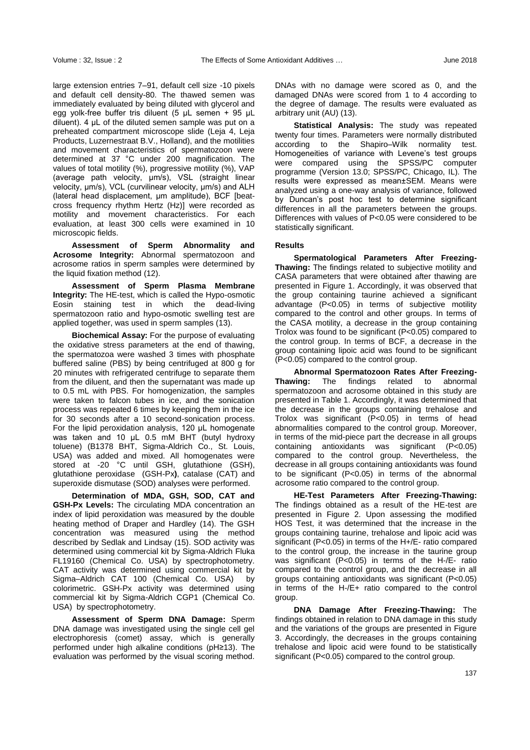large extension entries 7–91, default cell size -10 pixels and default cell density-80. The thawed semen was immediately evaluated by being diluted with glycerol and egg yolk-free buffer tris diluent (5 μL semen + 95 μL diluent). 4 μL of the diluted semen sample was put on a preheated compartment microscope slide (Leja 4, Leja Products, Luzernestraat B.V., Holland), and the motilities and movement characteristics of spermatozoon were determined at 37 °C under 200 magnification. The values of total motility (%), progressive motility (%), VAP (average path velocity, µm/s), VSL (straight linear velocity, µm/s), VCL (curvilinear velocity, µm/s) and ALH (lateral head displacement, µm amplitude), BCF [beatcross frequency rhythm Hertz (Hz)] were recorded as motility and movement characteristics. For each evaluation, at least 300 cells were examined in 10 microscopic fields.

**Assessment of Sperm Abnormality and Acrosome Integrity:** Abnormal spermatozoon and acrosome ratios in sperm samples were determined by the liquid fixation method (12).

**Assessment of Sperm Plasma Membrane Integrity:** The HE-test, which is called the Hypo-osmotic Eosin staining test in which the dead-living spermatozoon ratio and hypo-osmotic swelling test are applied together, was used in sperm samples (13).

**Biochemical Assay:** For the purpose of evaluating the oxidative stress parameters at the end of thawing, the spermatozoa were washed 3 times with phosphate buffered saline (PBS) by being centrifuged at 800 g for 20 minutes with refrigerated centrifuge to separate them from the diluent, and then the supernatant was made up to 0.5 mL with PBS. For homogenization, the samples were taken to falcon tubes in ice, and the sonication process was repeated 6 times by keeping them in the ice for 30 seconds after a 10 second-sonication process. For the lipid peroxidation analysis, 120 µL homogenate was taken and 10 µL 0.5 mM BHT (butyl hydroxy toluene) (B1378 BHT, Sigma-Aldrich Co., St. Louis, USA) was added and mixed. All homogenates were stored at -20 °C until GSH, glutathione (GSH), glutathione peroxidase (GSH-Px**)**, catalase (CAT) and superoxide dismutase (SOD) analyses were performed.

**Determination of MDA, GSH, SOD, CAT and GSH-Px Levels:** The circulating MDA concentration an index of lipid peroxidation was measured by the double heating method of Draper and Hardley (14). The GSH concentration was measured using the method described by Sedlak and Lindsay (15). SOD activity was determined using commercial kit by Sigma-Aldrich Fluka FL19160 (Chemical Co. USA) by spectrophotometry. CAT activity was determined using commercial kit by Sigma–Aldrich CAT 100 (Chemical Co. USA) by colorimetric. GSH-Px activity was determined using commercial kit by Sigma-Aldrich CGP1 (Chemical Co. USA) by spectrophotometry.

**Assessment of Sperm DNA Damage:** Sperm DNA damage was investigated using the single cell gel electrophoresis (comet) assay, which is generally performed under high alkaline conditions (pH≥13). The evaluation was performed by the visual scoring method.

DNAs with no damage were scored as 0, and the damaged DNAs were scored from 1 to 4 according to the degree of damage. The results were evaluated as arbitrary unit (AU) (13).

**Statistical Analysis:** The study was repeated twenty four times. Parameters were normally distributed according to the Shapiro–Wilk normality test. Homogeneities of variance with Levene's test groups were compared using the SPSS/PC computer programme (Version 13.0; SPSS/PC, Chicago, IL). The results were expressed as mean±SEM. Means were analyzed using a one-way analysis of variance, followed by Duncan's post hoc test to determine significant differences in all the parameters between the groups. Differences with values of P<0.05 were considered to be statistically significant.

# **Results**

**Spermatological Parameters After Freezing-Thawing:** The findings related to subjective motility and CASA parameters that were obtained after thawing are presented in Figure 1. Accordingly, it was observed that the group containing taurine achieved a significant advantage (P<0.05) in terms of subjective motility compared to the control and other groups. In terms of the CASA motility, a decrease in the group containing Trolox was found to be significant (P<0.05) compared to the control group. In terms of BCF, a decrease in the group containing lipoic acid was found to be significant (P<0.05) compared to the control group.

**Abnormal Spermatozoon Rates After Freezing-Thawing:** The findings related to abnormal spermatozoon and acrosome obtained in this study are presented in Table 1. Accordingly, it was determined that the decrease in the groups containing trehalose and Trolox was significant (P<0.05) in terms of head abnormalities compared to the control group. Moreover, in terms of the mid-piece part the decrease in all groups containing antioxidants was significant (P<0.05) compared to the control group. Nevertheless, the decrease in all groups containing antioxidants was found to be significant (P<0.05) in terms of the abnormal acrosome ratio compared to the control group.

**HE-Test Parameters After Freezing-Thawing:** The findings obtained as a result of the HE-test are presented in Figure 2. Upon assessing the modified HOS Test, it was determined that the increase in the groups containing taurine, trehalose and lipoic acid was significant (P<0.05) in terms of the H+/E- ratio compared to the control group, the increase in the taurine group was significant (P<0.05) in terms of the H-/E- ratio compared to the control group, and the decrease in all groups containing antioxidants was significant (P<0.05) in terms of the H-/E+ ratio compared to the control group.

**DNA Damage After Freezing-Thawing:** The findings obtained in relation to DNA damage in this study and the variations of the groups are presented in Figure 3. Accordingly, the decreases in the groups containing trehalose and lipoic acid were found to be statistically significant (P<0.05) compared to the control group.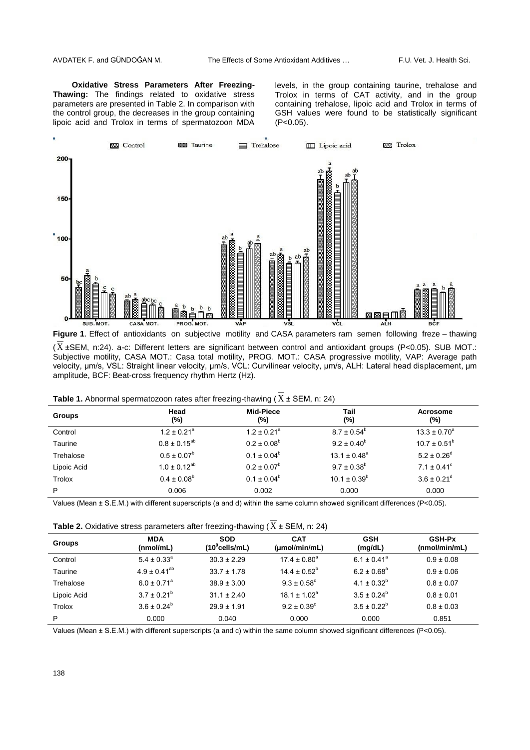**Oxidative Stress Parameters After Freezing-Thawing:** The findings related to oxidative stress parameters are presented in Table 2. In comparison with the control group, the decreases in the group containing lipoic acid and Trolox in terms of spermatozoon MDA

levels, in the group containing taurine, trehalose and Trolox in terms of CAT activity, and in the group containing trehalose, lipoic acid and Trolox in terms of GSH values were found to be statistically significant (P<0.05).



( X ±SEM, n:24). a-c: Different letters are significant between control and antioxidant groups (P<0.05). SUB MOT.: Subjective motility, CASA MOT.: Casa total motility, PROG. MOT.: CASA progressive motility, VAP: Average path velocity, µm/s, VSL: Straight linear velocity, µm/s, VCL: Curvilinear velocity, µm/s, ALH: Lateral head displacement, µm amplitude, BCF: Beat-cross frequency rhythm Hertz (Hz).

**Table 1.** Abnormal spermatozoon rates after freezing-thawing (X ± SEM, n: 24)

|               |                             | ີ                           |                        |                             |  |
|---------------|-----------------------------|-----------------------------|------------------------|-----------------------------|--|
| <b>Groups</b> | Head<br>(%)                 | <b>Mid-Piece</b><br>(%)     | Tail<br>(%)            | <b>Acrosome</b><br>(%)      |  |
| Control       | $1.2 \pm 0.21$ <sup>a</sup> | $1.2 \pm 0.21$ <sup>a</sup> | $8.7 \pm 0.54^{\circ}$ | $13.3 \pm 0.70^a$           |  |
| Taurine       | $0.8 \pm 0.15^{ab}$         | $0.2 \pm 0.08^b$            | $9.2 \pm 0.40^b$       | $10.7 \pm 0.51^{\circ}$     |  |
| Trehalose     | $0.5 \pm 0.07^b$            | $0.1 \pm 0.04^b$            | $13.1 \pm 0.48^a$      | $5.2 \pm 0.26$ <sup>d</sup> |  |
| Lipoic Acid   | $1.0 \pm 0.12^{ab}$         | $0.2 \pm 0.07^b$            | $9.7 \pm 0.38^b$       | $7.1 \pm 0.41^{\circ}$      |  |
| Trolox        | $0.4 \pm 0.08^b$            | $0.1 \pm 0.04^b$            | $10.1 \pm 0.39^b$      | $3.6 \pm 0.21$ <sup>d</sup> |  |
| P             | 0.006                       | 0.002                       | 0.000                  | 0.000                       |  |
|               |                             |                             |                        |                             |  |

Values (Mean ± S.E.M.) with different superscripts (a and d) within the same column showed significant differences (P<0.05).

**Table 2.** Oxidative stress parameters after freezing-thawing ( $X \pm$  SEM, n: 24)

| <b>Groups</b> | <b>MDA</b><br>(nmol/mL)     | <b>SOD</b><br>$(10^9$ cells/mL) | <b>CAT</b><br>$(\mu \text{mol/min/mL})$ | <b>GSH</b><br>(mg/dL)       | GSH-Px<br>(nmol/min/mL) |  |  |  |
|---------------|-----------------------------|---------------------------------|-----------------------------------------|-----------------------------|-------------------------|--|--|--|
| Control       | $5.4 \pm 0.33^{\circ}$      | $30.3 \pm 2.29$                 | $17.4 \pm 0.80^a$                       | $6.1 \pm 0.41$ <sup>a</sup> | $0.9 \pm 0.08$          |  |  |  |
| Taurine       | $4.9 \pm 0.41^{ab}$         | $33.7 \pm 1.78$                 | $14.4 \pm 0.52^b$                       | $6.2 \pm 0.68^a$            | $0.9 \pm 0.06$          |  |  |  |
| Trehalose     | $6.0 \pm 0.71$ <sup>a</sup> | $38.9 \pm 3.00$                 | $9.3 \pm 0.58$ <sup>c</sup>             | $4.1 \pm 0.32^b$            | $0.8 \pm 0.07$          |  |  |  |
| Lipoic Acid   | $3.7 \pm 0.21^b$            | $31.1 \pm 2.40$                 | $18.1 \pm 1.02^a$                       | $3.5 \pm 0.24^b$            | $0.8 \pm 0.01$          |  |  |  |
| Trolox        | $3.6 \pm 0.24^b$            | $29.9 \pm 1.91$                 | $9.2 \pm 0.39^{\circ}$                  | $3.5 \pm 0.22^b$            | $0.8 \pm 0.03$          |  |  |  |
| P             | 0.000                       | 0.040                           | 0.000                                   | 0.000                       | 0.851                   |  |  |  |

Values (Mean ± S.E.M.) with different superscripts (a and c) within the same column showed significant differences (P<0.05).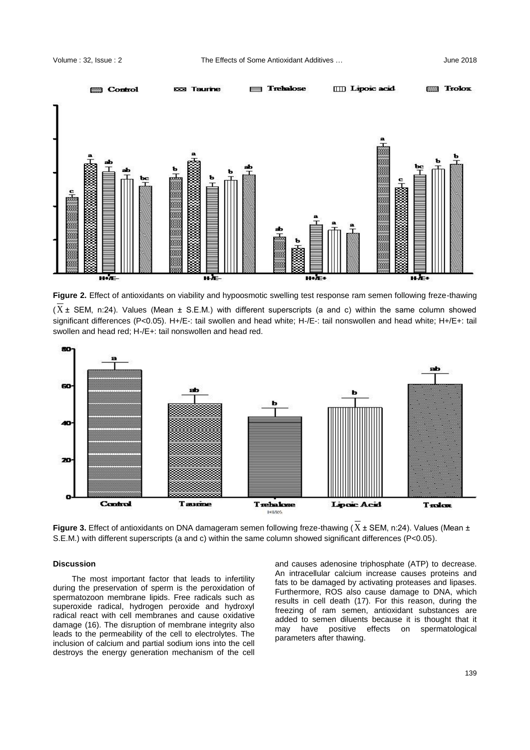

**Figure 2.** Effect of antioxidants on viability and hypoosmotic swelling test response ram semen following freze-thawing ( X ± SEM, n:24). Values (Mean ± S.E.M.) with different superscripts (a and c) within the same column showed significant differences (P<0.05). H+/E-: tail swollen and head white; H-/E-: tail nonswollen and head white; H+/E+: tail swollen and head red; H-/E+: tail nonswollen and head red.



**Figure 3.** Effect of antioxidants on DNA damageram semen following freze-thawing ( $X \pm$  SEM, n:24). Values (Mean  $\pm$ S.E.M.) with different superscripts (a and c) within the same column showed significant differences (P<0.05).

# **Discussion**

The most important factor that leads to infertility during the preservation of sperm is the peroxidation of spermatozoon membrane lipids. Free radicals such as superoxide radical, hydrogen peroxide and hydroxyl radical react with cell membranes and cause oxidative damage (16). The disruption of membrane integrity also leads to the permeability of the cell to electrolytes. The inclusion of calcium and partial sodium ions into the cell destroys the energy generation mechanism of the cell

and causes adenosine triphosphate (ATP) to decrease. An intracellular calcium increase causes proteins and fats to be damaged by activating proteases and lipases. Furthermore, ROS also cause damage to DNA, which results in cell death (17). For this reason, during the freezing of ram semen, antioxidant substances are added to semen diluents because it is thought that it may have positive effects on spermatological parameters after thawing.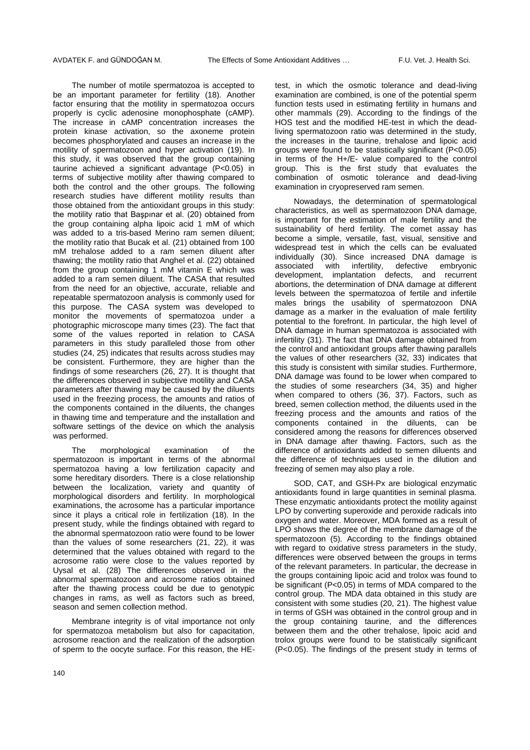The number of motile spermatozoa is accepted to be an important parameter for fertility (18). Another factor ensuring that the motility in spermatozoa occurs properly is cyclic adenosine monophosphate (cAMP). The increase in cAMP concentration increases the protein kinase activation, so the axoneme protein becomes phosphorylated and causes an increase in the motility of spermatozoon and hyper activation (19). In this study, it was observed that the group containing taurine achieved a significant advantage (P<0.05) in terms of subjective motility after thawing compared to both the control and the other groups. The following research studies have different motility results than those obtained from the antioxidant groups in this study: the motility ratio that Başpınar et al. (20) obtained from the group containing alpha lipoic acid 1 mM of which was added to a tris-based Merino ram semen diluent; the motility ratio that Bucak et al. (21) obtained from 100 mM trehalose added to a ram semen diluent after thawing; the motility ratio that Anghel et al. (22) obtained from the group containing 1 mM vitamin E which was added to a ram semen diluent. The CASA that resulted from the need for an objective, accurate, reliable and repeatable spermatozoon analysis is commonly used for this purpose. The CASA system was developed to monitor the movements of spermatozoa under a photographic microscope many times (23). The fact that some of the values reported in relation to CASA parameters in this study paralleled those from other studies (24, 25) indicates that results across studies may be consistent. Furthermore, they are higher than the findings of some researchers (26, 27). It is thought that the differences observed in subjective motility and CASA parameters after thawing may be caused by the diluents used in the freezing process, the amounts and ratios of the components contained in the diluents, the changes in thawing time and temperature and the installation and software settings of the device on which the analysis was performed.

The morphological examination of the spermatozoon is important in terms of the abnormal spermatozoa having a low fertilization capacity and some hereditary disorders. There is a close relationship between the localization, variety and quantity of morphological disorders and fertility. In morphological examinations, the acrosome has a particular importance since it plays a critical role in fertilization (18). In the present study, while the findings obtained with regard to the abnormal spermatozoon ratio were found to be lower than the values of some researchers (21, 22), it was determined that the values obtained with regard to the acrosome ratio were close to the values reported by Uysal et al. (28) The differences observed in the abnormal spermatozoon and acrosome ratios obtained after the thawing process could be due to genotypic changes in rams, as well as factors such as breed, season and semen collection method.

Membrane integrity is of vital importance not only for spermatozoa metabolism but also for capacitation, acrosome reaction and the realization of the adsorption of sperm to the oocyte surface. For this reason, the HE- test, in which the osmotic tolerance and dead-living examination are combined, is one of the potential sperm function tests used in estimating fertility in humans and other mammals (29). According to the findings of the HOS test and the modified HE-test in which the deadliving spermatozoon ratio was determined in the study, the increases in the taurine, trehalose and lipoic acid groups were found to be statistically significant (P<0.05) in terms of the H+/E- value compared to the control group. This is the first study that evaluates the combination of osmotic tolerance and dead-living examination in cryopreserved ram semen.

Nowadays, the determination of spermatological characteristics, as well as spermatozoon DNA damage, is important for the estimation of male fertility and the sustainability of herd fertility. The comet assay has become a simple, versatile, fast, visual, sensitive and widespread test in which the cells can be evaluated individually (30). Since increased DNA damage is<br>associated with infertility, defective embryonic associated with infertility, defective embryonic development, implantation defects, and recurrent abortions, the determination of DNA damage at different levels between the spermatozoa of fertile and infertile males brings the usability of spermatozoon DNA damage as a marker in the evaluation of male fertility potential to the forefront. In particular, the high level of DNA damage in human spermatozoa is associated with infertility (31). The fact that DNA damage obtained from the control and antioxidant groups after thawing parallels the values of other researchers (32, 33) indicates that this study is consistent with similar studies. Furthermore, DNA damage was found to be lower when compared to the studies of some researchers (34, 35) and higher when compared to others (36, 37). Factors, such as breed, semen collection method, the diluents used in the freezing process and the amounts and ratios of the components contained in the diluents, can be considered among the reasons for differences observed in DNA damage after thawing. Factors, such as the difference of antioxidants added to semen diluents and the difference of techniques used in the dilution and freezing of semen may also play a role.

SOD, CAT, and GSH-Px are biological enzymatic antioxidants found in large quantities in seminal plasma. These enzymatic antioxidants protect the motility against LPO by converting superoxide and peroxide radicals into oxygen and water. Moreover, MDA formed as a result of LPO shows the degree of the membrane damage of the spermatozoon (5). According to the findings obtained with regard to oxidative stress parameters in the study, differences were observed between the groups in terms of the relevant parameters. In particular, the decrease in the groups containing lipoic acid and trolox was found to be significant (P<0.05) in terms of MDA compared to the control group. The MDA data obtained in this study are consistent with some studies (20, 21). The highest value in terms of GSH was obtained in the control group and in the group containing taurine, and the differences between them and the other trehalose, lipoic acid and trolox groups were found to be statistically significant (P<0.05). The findings of the present study in terms of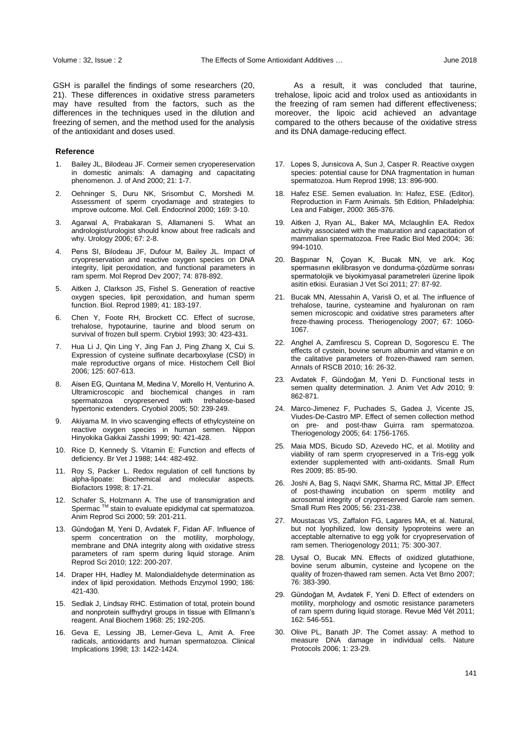GSH is parallel the findings of some researchers (20, 21). These differences in oxidative stress parameters may have resulted from the factors, such as the differences in the techniques used in the dilution and freezing of semen, and the method used for the analysis of the antioxidant and doses used.

#### **Reference**

- Bailey JL, Bilodeau JF. Cormeir semen cryopereservation in domestic animals: A damaging and capacitating phenomenon. J. of And 2000; 21: 1-7.
- 2. Oehninger S, Duru NK, Srisombut C, Morshedi M. Assessment of sperm cryodamage and strategies to ımprove outcome. Mol. Cell. Endocrinol 2000; 169: 3-10.
- Agarwal A, Prabakaran S, Allamaneni S. What an andrologist/urologist should know about free radicals and why. Urology 2006; 67: 2-8.
- Peris SI, Bilodeau JF, Dufour M, Bailey JL. Impact of cryopreservation and reactive oxygen species on DNA integrity, lipit peroxidation, and functional parameters in ram sperm. Mol Reprod Dev 2007; 74: 878-892.
- 5. Aitken J, Clarkson JS, Fishel S. Generation of reactive oxygen species, lipit peroxidation, and human sperm function. Biol. Reprod 1989; 41: 183-197.
- 6. Chen Y, Foote RH, Brockett CC. Effect of sucrose, trehalose, hypotaurine, taurine and blood serum on survival of frozen bull sperm. Crybiol 1993; 30: 423-431.
- Hua Li J, Qin Ling Y, Jing Fan J, Ping Zhang X, Cui S. Expression of cysteine sulfinate decarboxylase (CSD) in male reproductive organs of mice. Histochem Cell Biol 2006; 125: 607-613.
- 8. Aisen EG, Quıntana M, Medina V, Morello H, Venturino A. Ultramicroscopic and biochemical changes in ram spermatozoa cryopreserved with trehalose-based hypertonic extenders. Cryobiol 2005; 50: 239-249.
- 9. Akiyama M. In vivo scavenging effects of ethylcysteine on reactive oxygen species in human semen. Nippon Hinyokika Gakkai Zasshi 1999; 90: 421-428.
- 10. Rice D, Kennedy S. Vitamin E: Function and effects of deficiency. Br Vet J 1988; 144: 482-492.
- 11. Roy S, Packer L. Redox regulation of cell functions by alpha-lipoate: Biochemical and molecular aspects. Biofactors 1998; 8: 17-21.
- 12. Schafer S, Holzmann A. The use of transmigration and Spermac<sup>™</sup> stain to evaluate epididymal cat spermatozoa. Anim Reprod Sci 2000; 59: 201-211.
- 13. Gündoğan M, Yeni D, Avdatek F, Fidan AF. Influence of sperm concentration on the motility, morphology, membrane and DNA integrity along with oxidative stress parameters of ram sperm during liquid storage. Anim Reprod Sci 2010; 122: 200-207.
- 14. Draper HH, Hadley M. Malondialdehyde determination as index of lipid peroxidation. Methods Enzymol 1990; 186: 421-430.
- 15. Sedlak J, Lindsay RHC. Estimation of total, protein bound and nonprotein sulfhydryl groups in tissue with Ellmann's reagent. Anal Biochem 1968: 25; 192-205.
- 16. Geva E, Lessing JB, Lerner-Geva L, Amit A. Free radicals, antioxidants and human spermatozoa. Clinical Implications 1998; 13: 1422-1424.

As a result, it was concluded that taurine, trehalose, lipoic acid and trolox used as antioxidants in the freezing of ram semen had different effectiveness; moreover, the lipoic acid achieved an advantage compared to the others because of the oxidative stress and its DNA damage-reducing effect.

- 17. Lopes S, Jurısicova A, Sun J, Casper R. Reactive oxygen species: potential cause for DNA fragmentation in human spermatozoa. Hum Reprod 1998; 13: 896-900.
- 18. Hafez ESE. Semen evaluation. In: Hafez, ESE. (Editor). Reproduction in Farm Animals. 5th Edition, Philadelphia: Lea and Fabiger, 2000: 365-376.
- 19. Aitken J, Ryan AL, Baker MA, Mclaughlin EA. Redox activity associated with the maturation and capacitation of mammalian spermatozoa. Free Radic Biol Med 2004; 36: 994-1010.
- 20. Başpınar N, Çoyan K, Bucak MN, ve ark. Koç spermasının ekilibrasyon ve dondurma-çözdürme sonrası spermatolojik ve biyokimyasal parametreleri üzerine lipoik asitin etkisi. Eurasian J Vet Sci 2011; 27: 87-92.
- 21. Bucak MN, Atessahin A, Varisli O, et al. The influence of trehalose, taurine, cysteamine and hyaluronan on ram semen microscopic and oxidative stres parameters after freze-thawing process. Theriogenology 2007; 67: 1060- 1067.
- 22. Anghel A, Zamfirescu S, Coprean D, Sogorescu E. The effects of cystein, bovine serum albumin and vitamin e on the calitative parameters of frozen-thawed ram semen. Annals of RSCB 2010; 16: 26-32.
- 23. Avdatek F, Gündoğan M, Yeni D. Functional tests in semen quality determination. J. Anim Vet Adv 2010; 9: 862-871.
- 24. Marco-Jimenez F, Puchades S, Gadea J, Vicente JS, Viudes-De-Castro MP. Effect of semen collection method on pre- and post-thaw Guirra ram spermatozoa. Theriogenology 2005; 64: 1756-1765.
- 25. Maia MDS, Bicudo SD, Azevedo HC, et al. Motility and viability of ram sperm cryopreserved in a Tris-egg yolk extender supplemented with anti-oxidants. Small Rum Res 2009; 85: 85-90.
- 26. Joshi A, Bag S, Naqvi SMK, Sharma RC, Mittal JP. Effect of post-thawing incubation on sperm motility and acrosomal integrity of cryopreserved Garole ram semen. Small Rum Res 2005; 56: 231-238.
- 27. Moustacas VS, Zaffalon FG, Lagares MA, et al. Natural, but not lyophilized, low density lypoproteins were an acceptable alternative to egg yolk for cryopreservation of ram semen. Theriogenology 2011; 75: 300-307.
- 28. Uysal O, Bucak MN. Effects of oxidized glutathione, bovine serum albumin, cysteine and lycopene on the quality of frozen-thawed ram semen. Acta Vet Brno 2007; 76: 383-390.
- 29. Gündoğan M, Avdatek F, Yeni D. Effect of extenders on motility, morphology and osmotic resistance parameters of ram sperm during liquid storage. Revue Méd Vét 2011; 162: 546-551.
- 30. Olive PL, Banath JP. The Comet assay: A method to measure DNA damage in individual cells. Nature Protocols 2006; 1: 23-29.